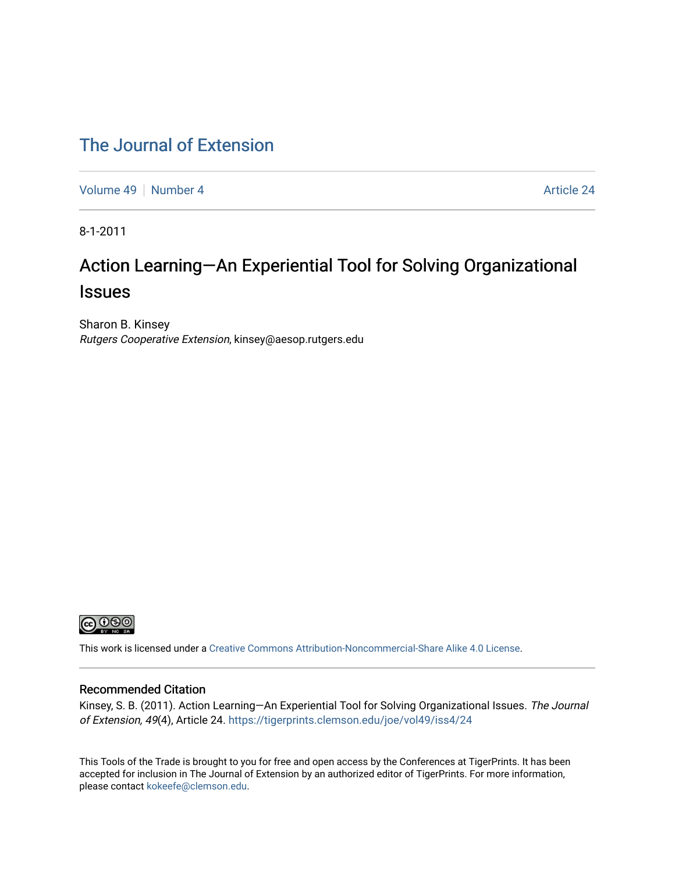### [The Journal of Extension](https://tigerprints.clemson.edu/joe)

[Volume 49](https://tigerprints.clemson.edu/joe/vol49) [Number 4](https://tigerprints.clemson.edu/joe/vol49/iss4) Article 24

8-1-2011

# Action Learning—An Experiential Tool for Solving Organizational **Issues**

Sharon B. Kinsey Rutgers Cooperative Extension, kinsey@aesop.rutgers.edu



This work is licensed under a [Creative Commons Attribution-Noncommercial-Share Alike 4.0 License.](https://creativecommons.org/licenses/by-nc-sa/4.0/)

#### Recommended Citation

Kinsey, S. B. (2011). Action Learning—An Experiential Tool for Solving Organizational Issues. The Journal of Extension, 49(4), Article 24.<https://tigerprints.clemson.edu/joe/vol49/iss4/24>

This Tools of the Trade is brought to you for free and open access by the Conferences at TigerPrints. It has been accepted for inclusion in The Journal of Extension by an authorized editor of TigerPrints. For more information, please contact [kokeefe@clemson.edu](mailto:kokeefe@clemson.edu).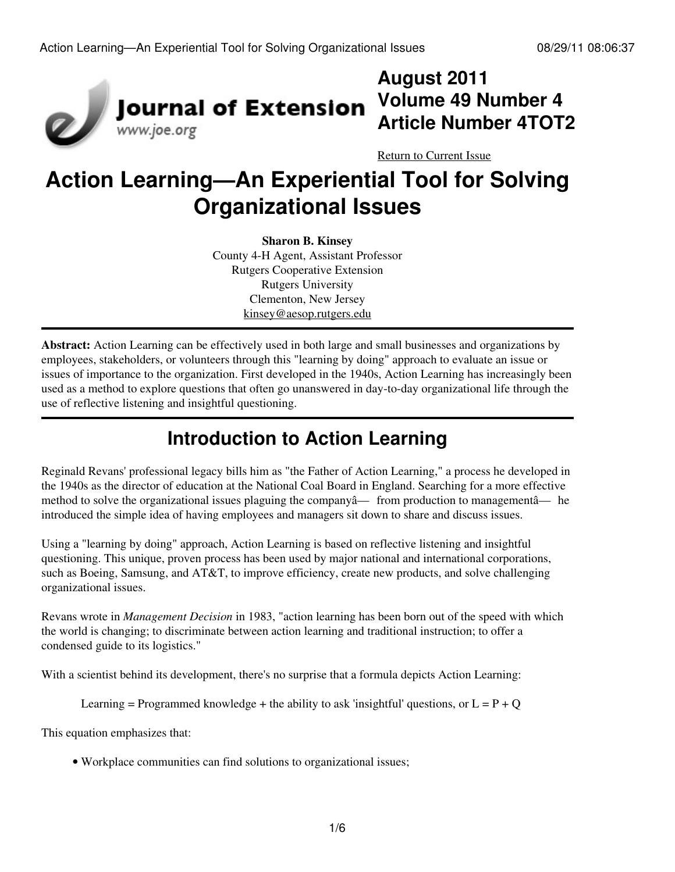

# **August 2011 Volume 49 Number 4 Article Number 4TOT2**

[Return to Current Issue](http://www.joe.org:80/joe/2011august/)

# **Action Learning—An Experiential Tool for Solving Organizational Issues**

**Sharon B. Kinsey** County 4-H Agent, Assistant Professor Rutgers Cooperative Extension Rutgers University Clementon, New Jersey [kinsey@aesop.rutgers.edu](mailto:kinsey@aesop.rutgers.edu)

**Abstract:** Action Learning can be effectively used in both large and small businesses and organizations by employees, stakeholders, or volunteers through this "learning by doing" approach to evaluate an issue or issues of importance to the organization. First developed in the 1940s, Action Learning has increasingly been used as a method to explore questions that often go unanswered in day-to-day organizational life through the use of reflective listening and insightful questioning.

# **Introduction to Action Learning**

Reginald Revans' professional legacy bills him as "the Father of Action Learning," a process he developed in the 1940s as the director of education at the National Coal Board in England. Searching for a more effective method to solve the organizational issues plaguing the companyâ— from production to managementâ— he introduced the simple idea of having employees and managers sit down to share and discuss issues.

Using a "learning by doing" approach, Action Learning is based on reflective listening and insightful questioning. This unique, proven process has been used by major national and international corporations, such as Boeing, Samsung, and AT&T, to improve efficiency, create new products, and solve challenging organizational issues.

Revans wrote in *Management Decision* in 1983, "action learning has been born out of the speed with which the world is changing; to discriminate between action learning and traditional instruction; to offer a condensed guide to its logistics."

With a scientist behind its development, there's no surprise that a formula depicts Action Learning:

Learning = Programmed knowledge + the ability to ask 'insightful' questions, or  $L = P + O$ 

This equation emphasizes that:

• Workplace communities can find solutions to organizational issues;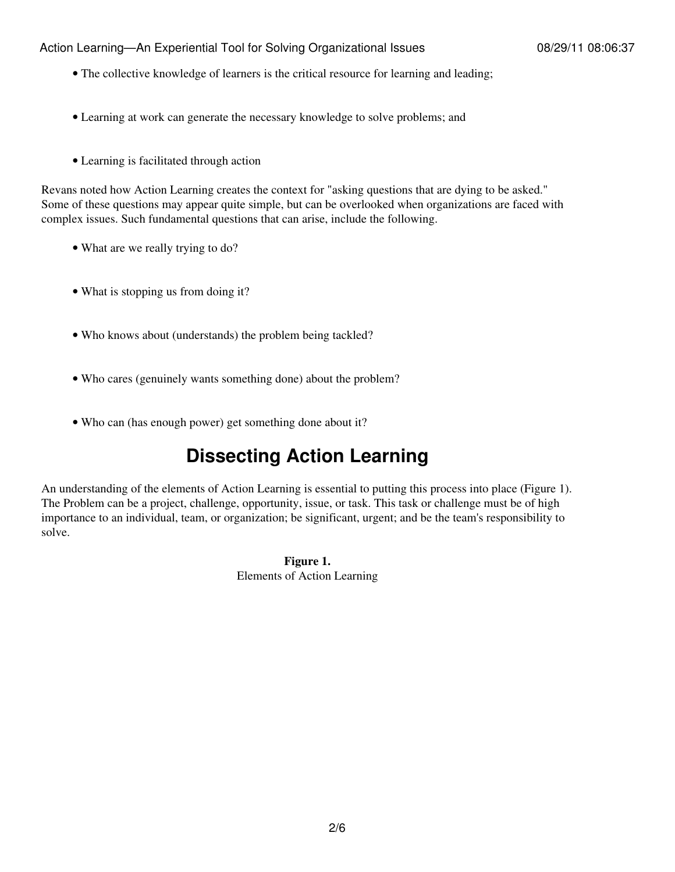#### Action Learning—An Experiential Tool for Solving Organizational Issues 08/29/11 08:06:37

- The collective knowledge of learners is the critical resource for learning and leading;
- Learning at work can generate the necessary knowledge to solve problems; and
- Learning is facilitated through action

Revans noted how Action Learning creates the context for "asking questions that are dying to be asked." Some of these questions may appear quite simple, but can be overlooked when organizations are faced with complex issues. Such fundamental questions that can arise, include the following.

- What are we really trying to do?
- What is stopping us from doing it?
- Who knows about (understands) the problem being tackled?
- Who cares (genuinely wants something done) about the problem?
- Who can (has enough power) get something done about it?

# **Dissecting Action Learning**

An understanding of the elements of Action Learning is essential to putting this process into place (Figure 1). The Problem can be a project, challenge, opportunity, issue, or task. This task or challenge must be of high importance to an individual, team, or organization; be significant, urgent; and be the team's responsibility to solve.

> **Figure 1.** Elements of Action Learning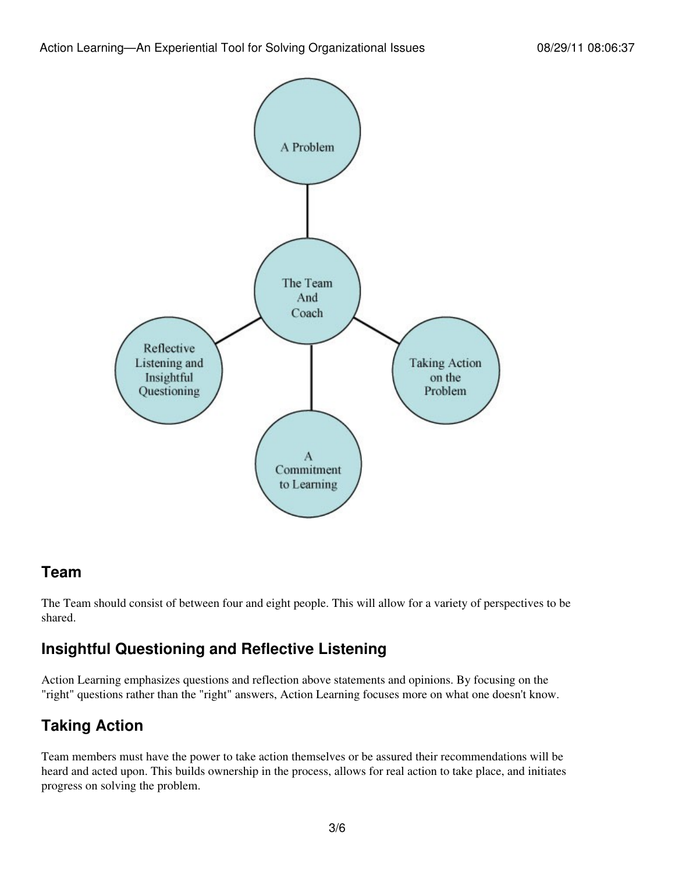

#### **Team**

The Team should consist of between four and eight people. This will allow for a variety of perspectives to be shared.

### **Insightful Questioning and Reflective Listening**

Action Learning emphasizes questions and reflection above statements and opinions. By focusing on the "right" questions rather than the "right" answers, Action Learning focuses more on what one doesn't know.

## **Taking Action**

Team members must have the power to take action themselves or be assured their recommendations will be heard and acted upon. This builds ownership in the process, allows for real action to take place, and initiates progress on solving the problem.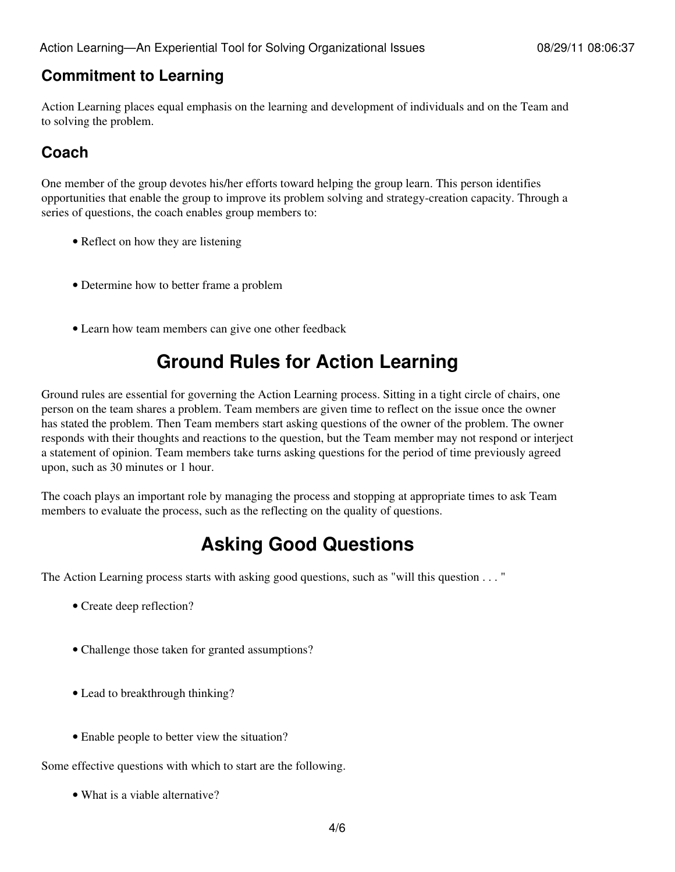#### **Commitment to Learning**

Action Learning places equal emphasis on the learning and development of individuals and on the Team and to solving the problem.

### **Coach**

One member of the group devotes his/her efforts toward helping the group learn. This person identifies opportunities that enable the group to improve its problem solving and strategy-creation capacity. Through a series of questions, the coach enables group members to:

- Reflect on how they are listening
- Determine how to better frame a problem
- Learn how team members can give one other feedback

# **Ground Rules for Action Learning**

Ground rules are essential for governing the Action Learning process. Sitting in a tight circle of chairs, one person on the team shares a problem. Team members are given time to reflect on the issue once the owner has stated the problem. Then Team members start asking questions of the owner of the problem. The owner responds with their thoughts and reactions to the question, but the Team member may not respond or interject a statement of opinion. Team members take turns asking questions for the period of time previously agreed upon, such as 30 minutes or 1 hour.

The coach plays an important role by managing the process and stopping at appropriate times to ask Team members to evaluate the process, such as the reflecting on the quality of questions.

# **Asking Good Questions**

The Action Learning process starts with asking good questions, such as "will this question . . . "

- Create deep reflection?
- Challenge those taken for granted assumptions?
- Lead to breakthrough thinking?
- Enable people to better view the situation?

Some effective questions with which to start are the following.

• What is a viable alternative?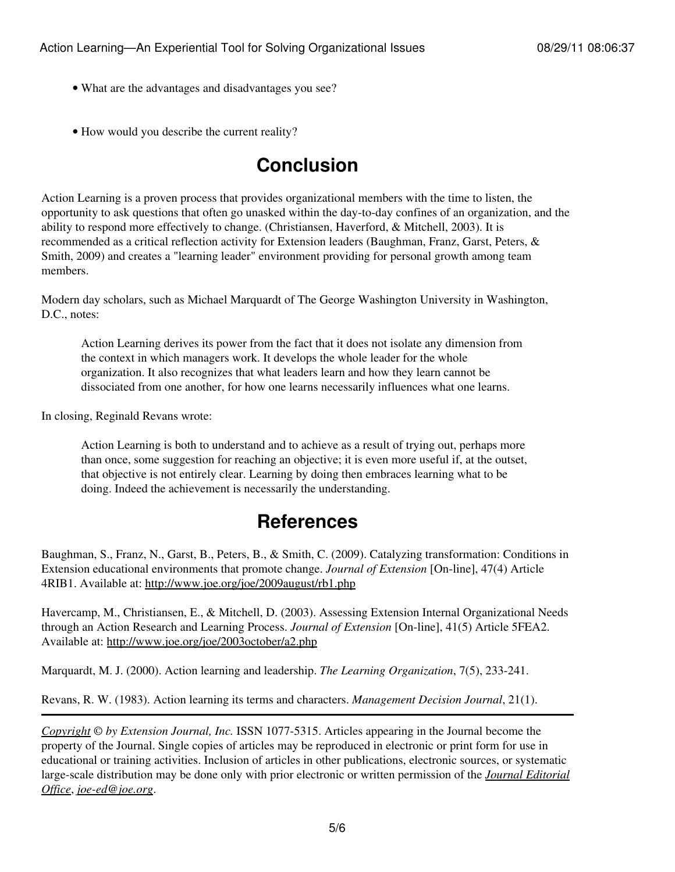- What are the advantages and disadvantages you see?
- How would you describe the current reality?

# **Conclusion**

Action Learning is a proven process that provides organizational members with the time to listen, the opportunity to ask questions that often go unasked within the day-to-day confines of an organization, and the ability to respond more effectively to change. (Christiansen, Haverford, & Mitchell, 2003). It is recommended as a critical reflection activity for Extension leaders (Baughman, Franz, Garst, Peters, & Smith, 2009) and creates a "learning leader" environment providing for personal growth among team members.

Modern day scholars, such as Michael Marquardt of The George Washington University in Washington, D.C., notes:

Action Learning derives its power from the fact that it does not isolate any dimension from the context in which managers work. It develops the whole leader for the whole organization. It also recognizes that what leaders learn and how they learn cannot be dissociated from one another, for how one learns necessarily influences what one learns.

In closing, Reginald Revans wrote:

Action Learning is both to understand and to achieve as a result of trying out, perhaps more than once, some suggestion for reaching an objective; it is even more useful if, at the outset, that objective is not entirely clear. Learning by doing then embraces learning what to be doing. Indeed the achievement is necessarily the understanding.

## **References**

Baughman, S., Franz, N., Garst, B., Peters, B., & Smith, C. (2009). Catalyzing transformation: Conditions in Extension educational environments that promote change. *Journal of Extension* [On-line], 47(4) Article 4RIB1. Available at: <http://www.joe.org/joe/2009august/rb1.php>

Havercamp, M., Christiansen, E., & Mitchell, D. (2003). Assessing Extension Internal Organizational Needs through an Action Research and Learning Process. *Journal of Extension* [On-line], 41(5) Article 5FEA2. Available at: <http://www.joe.org/joe/2003october/a2.php>

Marquardt, M. J. (2000). Action learning and leadership. *The Learning Organization*, 7(5), 233-241.

Revans, R. W. (1983). Action learning its terms and characters. *Management Decision Journal*, 21(1).

*[Copyright](http://www.joe.org:80/joe/2011august/../../copyright.html) © by Extension Journal, Inc.* ISSN 1077-5315. Articles appearing in the Journal become the property of the Journal. Single copies of articles may be reproduced in electronic or print form for use in educational or training activities. Inclusion of articles in other publications, electronic sources, or systematic large-scale distribution may be done only with prior electronic or written permission of the *[Journal Editorial](http://www.joe.org:80/joe/2011august/../../joe-jeo.html) [Office](http://www.joe.org:80/joe/2011august/../../joe-jeo.html)*, *[joe-ed@joe.org](mailto:joe-ed@joe.org)*.